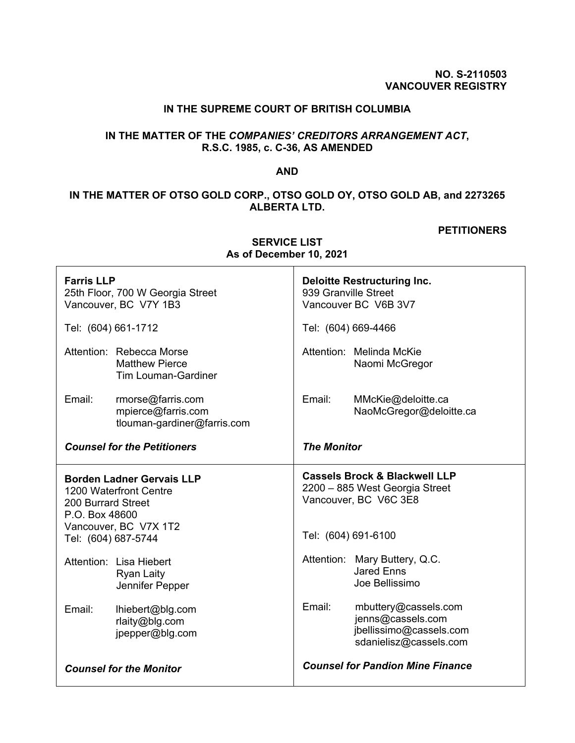### **NO. S-2110503 VANCOUVER REGISTRY**

# **IN THE SUPREME COURT OF BRITISH COLUMBIA**

# **IN THE MATTER OF THE** *COMPANIES' CREDITORS ARRANGEMENT ACT***, R.S.C. 1985, c. C-36, AS AMENDED**

## **AND**

# **IN THE MATTER OF OTSO GOLD CORP., OTSO GOLD OY, OTSO GOLD AB, and 2273265 ALBERTA LTD.**

#### **PETITIONERS**

| <b>Farris LLP</b><br>25th Floor, 700 W Georgia Street<br>Vancouver, BC V7Y 1B3                                                                     | <b>Deloitte Restructuring Inc.</b><br>939 Granville Street<br>Vancouver BC V6B 3V7                                         |  |  |
|----------------------------------------------------------------------------------------------------------------------------------------------------|----------------------------------------------------------------------------------------------------------------------------|--|--|
| Tel: (604) 661-1712                                                                                                                                | Tel: (604) 669-4466                                                                                                        |  |  |
| Attention: Rebecca Morse<br><b>Matthew Pierce</b><br><b>Tim Louman-Gardiner</b>                                                                    | Attention: Melinda McKie<br>Naomi McGregor                                                                                 |  |  |
| Email:<br>rmorse@farris.com<br>mpierce@farris.com<br>tlouman-gardiner@farris.com                                                                   | Email:<br>MMcKie@deloitte.ca<br>NaoMcGregor@deloitte.ca                                                                    |  |  |
| <b>Counsel for the Petitioners</b>                                                                                                                 | <b>The Monitor</b>                                                                                                         |  |  |
| <b>Borden Ladner Gervais LLP</b><br>1200 Waterfront Centre<br>200 Burrard Street<br>P.O. Box 48600<br>Vancouver, BC V7X 1T2<br>Tel: (604) 687-5744 | <b>Cassels Brock &amp; Blackwell LLP</b><br>2200 - 885 West Georgia Street<br>Vancouver, BC V6C 3E8<br>Tel: (604) 691-6100 |  |  |
| Attention: Lisa Hiebert<br><b>Ryan Laity</b><br>Jennifer Pepper                                                                                    | Attention: Mary Buttery, Q.C.<br><b>Jared Enns</b><br>Joe Bellissimo                                                       |  |  |
| Email:<br>lhiebert@blg.com<br>rlaity@blg.com<br>jpepper@blg.com                                                                                    | Email:<br>mbuttery@cassels.com<br>jenns@cassels.com<br>jbellissimo@cassels.com<br>sdanielisz@cassels.com                   |  |  |
| <b>Counsel for the Monitor</b>                                                                                                                     | <b>Counsel for Pandion Mine Finance</b>                                                                                    |  |  |

**SERVICE LIST As of December 10, 2021**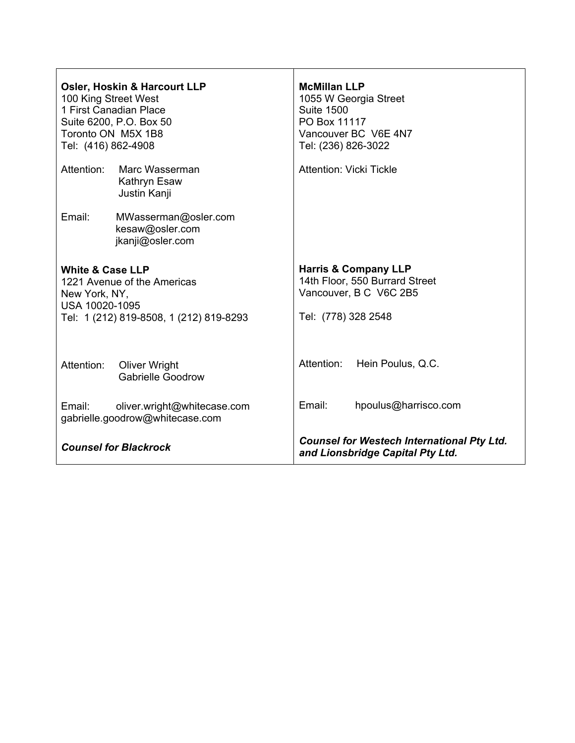| Osler, Hoskin & Harcourt LLP<br>100 King Street West<br>1 First Canadian Place<br>Suite 6200, P.O. Box 50<br>Toronto ON M5X 1B8<br>Tel: (416) 862-4908 |                                                                | <b>McMillan LLP</b><br>1055 W Georgia Street<br><b>Suite 1500</b><br>PO Box 11117<br>Vancouver BC V6E 4N7<br>Tel: (236) 826-3022 |                      |
|--------------------------------------------------------------------------------------------------------------------------------------------------------|----------------------------------------------------------------|----------------------------------------------------------------------------------------------------------------------------------|----------------------|
| Attention:                                                                                                                                             | Marc Wasserman<br>Kathryn Esaw<br>Justin Kanji                 | <b>Attention: Vicki Tickle</b>                                                                                                   |                      |
| Email:                                                                                                                                                 | MWasserman@osler.com<br>kesaw@osler.com<br>jkanji@osler.com    |                                                                                                                                  |                      |
| <b>White &amp; Case LLP</b><br>1221 Avenue of the Americas<br>New York, NY,<br>USA 10020-1095<br>Tel: 1 (212) 819-8508, 1 (212) 819-8293               |                                                                | <b>Harris &amp; Company LLP</b><br>14th Floor, 550 Burrard Street<br>Vancouver, B C V6C 2B5<br>Tel: (778) 328 2548               |                      |
| Attention:                                                                                                                                             | <b>Oliver Wright</b><br><b>Gabrielle Goodrow</b>               | Attention:                                                                                                                       | Hein Poulus, Q.C.    |
| Email:                                                                                                                                                 | oliver.wright@whitecase.com<br>gabrielle.goodrow@whitecase.com | Email:                                                                                                                           | hpoulus@harrisco.com |
| <b>Counsel for Blackrock</b>                                                                                                                           |                                                                | <b>Counsel for Westech International Pty Ltd.</b><br>and Lionsbridge Capital Pty Ltd.                                            |                      |